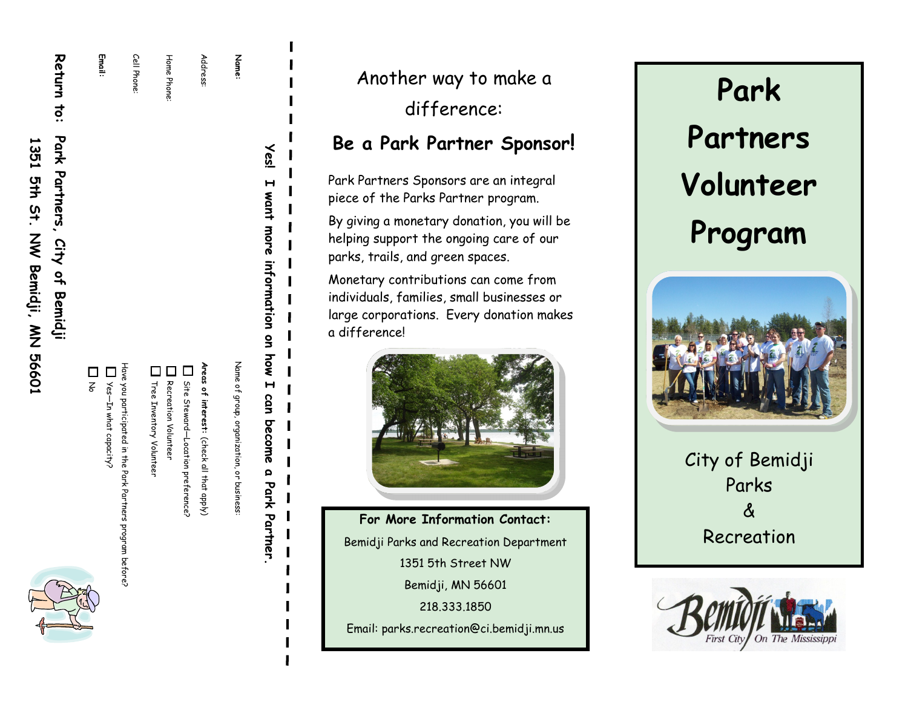|                                   | <b>Neturn to:</b>                      |
|-----------------------------------|----------------------------------------|
| 1351 544 S4. NW Bemidji, NN 56601 | Park Partners, City of<br><b>Bemid</b> |

**Email:**

Cell Phone:

Cell Phone:

Home Phone:

Home Phone



| Address: |  |
|----------|--|
|          |  |
|          |  |
|          |  |

**Name:**

Name of group, organization, or business Name of group, organization, or business:

Recreation Volunteer

Recreation Volunteer

 $\Box$ 

Tree Inventory Volunteer

Tree Inventory Voluntee

Have you participated in the Park Partners program before?

1

 $\overline{z}$ 

In what capacity?

Site Steward

**Areas of interest:** 

(check all that apply)

reas of interest: (check all that apply)

Location preference?

Site Steward-Location preference

Yes! **Yes! I want more information on how I can become a Park Partner.**  $\mathbf H$ want more information on How  $\mathbf{H}$ can become  $\mathbf{a}$ Park Partner Another way to make a difference:

# **Be a Park Partner Sponsor !**

Park Partners Sponsors are an integral piece of the Parks Partner program.

By giving a monetary donation, you will be helping support the ongoing care of our parks, trails, and green spaces.

Monetary contributions can come from individuals, families, small businesses or large corporations. Every donation makes a difference!



**For More Information Contact:** Bemidji Parks and Recreation Department 1351 5th Street NW Bemidji, MN 56601 218.333.1850 Email: parks.recreation@ci.bemidji.mn.us

**Park Partners Volunteer Program**



City of Bemidji Parks & Recreation